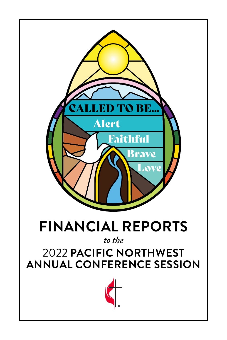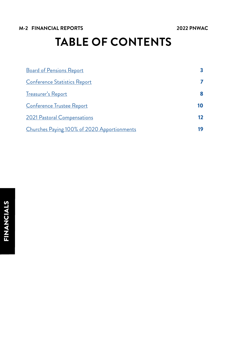## **M-2 FINANCIAL REPORTS 2022 PNWAC**

# **TABLE OF CONTENTS**

| <b>Board of Pensions Report</b>             | 3  |
|---------------------------------------------|----|
| <b>Conference Statistics Report</b>         |    |
| <b>Treasurer's Report</b>                   | 8  |
| <b>Conference Trustee Report</b>            | 10 |
| 2021 Pastoral Compensations                 | 12 |
| Churches Paying 100% of 2020 Apportionments | 19 |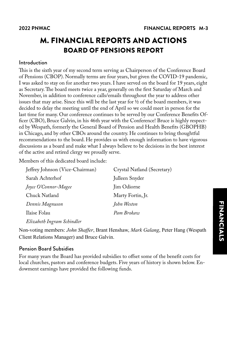## <span id="page-2-0"></span>M. FINANCIAL REPORTS AND ACTIONS BOARD OF PENSIONS REPORT

## Introduction

This is the sixth year of my second term serving as Chairperson of the Conference Board of Pensions (CBOP). Normally terms are four years, but given the COVID-19 pandemic, I was asked to stay on for another two years. I have served on the board for 19 years, eight as Secretary. The board meets twice a year, generally on the first Saturday of March and November, in addition to conference calls/emails throughout the year to address other issues that may arise. Since this will be the last year for ½ of the board members, it was decided to delay the meeting until the end of April so we could meet in person for the last time for many. Our conference continues to be served by our Conference Benefits Officer (CBO), Bruce Galvin, in his 46th year with the Conference! Bruce is highly respected by Wespath, formerly the General Board of Pension and Health Benefits (GBOPHB) in Chicago, and by other CBOs around the country. He continues to bring thoughtful recommendations to the board. He provides us with enough information to have vigorous discussions as a board and make what I always believe to be decisions in the best interest of the active and retired clergy we proudly serve.

Members of this dedicated board include:

| Jeffrey Johnson (Vice-Chairman) | Crystal Natland (Secretary) |
|---------------------------------|-----------------------------|
| Sarah Achterhof                 | Julleen Snyder              |
| Joyce O'Connor-Magee            | Jim Odiorne                 |
| Chuck Natland                   | Marty Fortin, Jr.           |
| Dennis Magnuson                 | John Weston                 |
| Ilaise Folau                    | Pam Brokaw                  |
|                                 |                             |

*Elizabeth Ingram Schindler*

Non-voting members: *John Shaffer*, Brant Henshaw, *Mark Galang*, Peter Hang (Wespath Client Relations Manager) and Bruce Galvin.

## Pension Board Subsidies

For many years the Board has provided subsidies to offset some of the benefit costs for local churches, pastors and conference budgets. Five years of history is shown below. Endowment earnings have provided the following funds.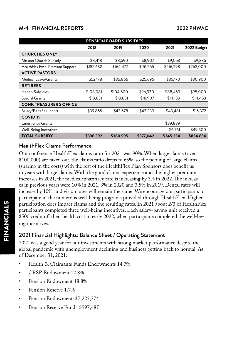## **M-4 FINANCIAL REPORTS 2022 PNWAC**

| PENSION BOARD SUBSIDIES          |           |           |           |           |             |  |  |  |  |  |
|----------------------------------|-----------|-----------|-----------|-----------|-------------|--|--|--|--|--|
|                                  | 2018      | 2019      | 2020      | 2021      | 2022 Budget |  |  |  |  |  |
| <b>CHURCHES ONLY</b>             |           |           |           |           |             |  |  |  |  |  |
| Mission Church Subsidy           | \$8,418   | \$8,590   | \$8,907   | \$9,053   | \$9,385     |  |  |  |  |  |
| HealthFlex Exch. Premium Support | \$152,632 | \$164,477 | \$151,555 | \$216,298 | \$262,000   |  |  |  |  |  |
| <b>ACTIVE PASTORS</b>            |           |           |           |           |             |  |  |  |  |  |
| Medical Leave/Grants             | \$52,178  | \$35,866  | \$25,696  | \$36,170  | \$30,900    |  |  |  |  |  |
| <b>RETIREES</b>                  |           |           |           |           |             |  |  |  |  |  |
| <b>Health Subsidies</b>          | \$108,081 | \$104,600 | \$96,930  | \$88,459  | \$95,000    |  |  |  |  |  |
| Special Grants                   | \$19,831  | \$19,831  | \$18,907  | \$14,139  | \$14,453    |  |  |  |  |  |
| <b>CONF. TREASURER'S OFFICE</b>  |           |           |           |           |             |  |  |  |  |  |
| Salary/Benefit support           | \$39,855  | \$43,678  | \$43,339  | \$43,481  | \$15,372    |  |  |  |  |  |
| COVID-19                         |           |           |           |           |             |  |  |  |  |  |
| <b>Emergency Grants</b>          |           |           |           | \$39,889  |             |  |  |  |  |  |
| Well-Being Incentives            |           |           |           | \$6,761   | \$49,500    |  |  |  |  |  |
| <b>TOTAL SUBSIDY</b>             | \$396,392 | \$380,995 | \$377,042 | \$345,334 | \$834,654   |  |  |  |  |  |

## HealthFlex Claims Performance

Our conference HealthFlex claims ratio for 2021 was 90%. When large claims (over \$100,000) are taken out, the claims ratio drops to 65%, so the pooling of large claims (sharing in the costs) with the rest of the HealthFlex Plan Sponsors does benefit us in years with large claims. With the good claims experience and the higher premium increases in 2021, the medical/pharmacy rate is increasing by 3% in 2022. The increases in previous years were 10% in 2021, 3% in 2020 and 3.5% in 2019. Dental rates will increase by 10%, and vision rates will remain the same. We encourage our participants to participate in the numerous well-being programs provided through HealthFlex. Higher participation does impact claims and the resulting rates. In 2021 about 2/3 of HealthFlex participants completed three well-being incentives. Each salary-paying unit received a \$500 credit off their health cost in early 2022, when participants completed the well-being incentives.

## 2021 Financial Highlights: Balance Sheet / Operating Statement

2021 was a good year for our investments with strong market performance despite the global pandemic with unemployment declining and business getting back to normal. As of December 31, 2021:

- Health & Claimants Funds Endowments 14.7%
- CRSP Endowment 12.8%
- Pension Endowment 18.8%
- Pension Reserve 1.7%
- Pension Endowment: \$7,225,374
- Pension Reserve Fund: \$997,487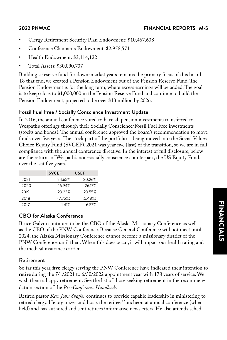- Clergy Retirement Security Plan Endowment: \$10,467,638
- Conference Claimants Endowment: \$2,958,571
- Health Endowment: \$3,114,122
- Total Assets: \$30,090,737

Building a reserve fund for down-market years remains the primary focus of this board. To that end, we created a Pension Endowment out of the Pension Reserve Fund. The Pension Endowment is for the long term, where excess earnings will be added. The goal is to keep close to \$1,000,000 in the Pension Reserve Fund and continue to build the Pension Endowment, projected to be over \$13 million by 2026.

## Fossil Fuel Free / Socially Conscience Investment Update

In 2016, the annual conference voted to have all pension investments transferred to Wespath's offerings through their Socially Conscience/Fossil Fuel Free investments (stocks and bonds). The annual conference approved the board's recommendation to move funds over five years. The stock part of the portfolio is being moved into the Social Values Choice Equity Fund (SVCEF). 2021 was year five (last) of the transition, so we are in full compliance with the annual conference directive. In the interest of full disclosure, below are the returns of Wespath's non-socially conscience counterpart, the US Equity Fund, over the last five years.

|      | <b>SVCEF</b> | <b>USEF</b> |
|------|--------------|-------------|
| 2021 | 24.65%       | 20.26%      |
| 2020 | 16.94%       | 26.17%      |
| 2019 | 29.23%       | 29.55%      |
| 2018 | (7.75%)      | (5.48%)     |
| 2017 | 1.41%        | 6.57%       |

## CBO for Alaska Conference

Bruce Galvin continues to be the CBO of the Alaska Missionary Conference as well as the CBO of the PNW Conference. Because General Conference will not meet until 2024, the Alaska Missionary Conference cannot become a missionary district of the PNW Conference until then. When this does occur, it will impact our health rating and the medical insurance carrier.

## Retirement

So far this year, **five** clergy serving the PNW Conference have indicated their intention to **retire** during the 7/1/2021 to 6/30/2022 appointment year with 178 years of service. We wish them a happy retirement. See the list of those seeking retirement in the recommendation section of the *Pre-Conference Handbook*.

Retired pastor *Rev. John Shaffer* continues to provide capable leadership in ministering to retired clergy. He organizes and hosts the retirees' luncheon at annual conference (when held) and has authored and sent retirees informative newsletters. He also attends sched-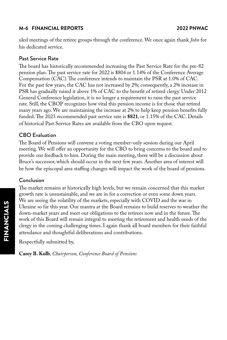## **M-6 FINANCIAL REPORTS 2022 PNWAC**

uled meetings of the retiree groups through the conference. We once again thank *John* for his dedicated service.

## Past Service Rate

The board has historically recommended increasing the Past Service Rate for the pre-82 pension plan. The past service rate for 2022 is \$804 or 1.14% of the Conference Average Compensation (CAC). The conference intends to maintain the PSR at 1.0% of CAC. For the past few years, the CAC has not increased by 2%; consequently, a 2% increase in PSR has gradually raised it above 1% of CAC to the benefit of retired clergy. Under 2012 General Conference legislation, it is no longer a requirement to raise the past service rate. Still, the CBOP recognizes how vital this pension income is for those that retired many years ago. We are maintaining the increase at 2% to help keep pension benefits fully funded. The 2023 recommended past service rate is **\$821**, or 1.15% of the CAC. Details of historical Past Service Rates are available from the CBO upon request.

## CBO Evaluation

The Board of Pensions will convene a voting member-only session during our April meeting. We will offer an opportunity for the CBO to bring concerns to the board and to provide our feedback to him. During the main meeting, there will be a discussion about Bruce's successor, which should occur in the next few years. Another area of interest will be how the episcopal area staffing changes will impact the work of the board of pensions.

## Conclusion

The market remains at historically high levels, but we remain concerned that this market growth rate is unsustainable, and we are in for a correction or even some down years. We are seeing the volatility of the markets, especially with COVID and the war in Ukraine so far this year. Our mantra at the Board remains to build reserves to weather the down-market years and meet our obligations to the retirees now and in the future. The work of this Board will remain integral to meeting the retirement and health needs of the clergy in the coming challenging times. I again thank all board members for their faithful attendance and thoughtful deliberations and contributions.

Respectfully submitted by,

**Carey B. Kolb**, *Chairperson, Conference Board of Pensions*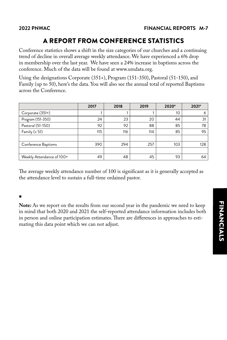## A REPORT FROM CONFERENCE STATISTICS

<span id="page-6-0"></span>Conference statistics shows a shift in the size categories of our churches and a continuing trend of decline in overall average weekly attendance. We have experienced a 6% drop in membership over the last year. We have seen a 24% increase in baptisms across the conference. Much of the data will be found at www.umdata.org.

Using the designations Corporate (351+), Program (151-350), Pastoral (51-150), and Family (up to 50), here's the data. You will also see the annual total of reported Baptisms across the Conference.

|                           | 2017 | 2018 | 2019 | 2020* | 2021* |
|---------------------------|------|------|------|-------|-------|
| Corporate (351+)          |      |      |      | 10    | 6     |
| Program (151-350)         | 24   | 23   | 20   | 44    | 31    |
| Pastoral (51-150)         | 92   | 92   | 88   | 85    | 78    |
| Family $(< 51)$           | 115  | 116  | 114  | 85    | 95    |
|                           |      |      |      |       |       |
| Conference Baptisms       | 390  | 294  | 257  | 103   | 128   |
|                           |      |      |      |       |       |
| Weekly Attendance of 100+ | 49   | 48   | 45   | 93    | 64    |

The average weekly attendance number of 100 is significant as it is generally accepted as the attendance level to sustain a full-time ordained pastor.

## \*

**Note:** As we report on the results from our second year in the pandemic we need to keep in mind that both 2020 and 2021 the self-reported attendance information includes both in person and online participation estimates. There are differences in approaches to estimating this data point which we can not adjust.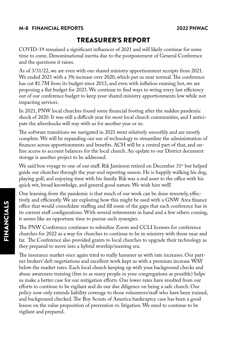## <span id="page-7-0"></span>**M-8 FINANCIAL REPORTS 2022 PNWAC**

## TREASURER'S REPORT

COVID-19 remained a significant influencer of 2021 and will likely continue for some time to come. Denominational inertia due to the postponement of General Conference and the questions it raises.

As of 3/31/22, we are even with our shared ministry apportionment receipts from 2021. We ended 2021 with a 3% increase over 2020, which put us near normal. The conference has cut \$1.7M from its budget since 2013, and even with inflation running hot, we are proposing a flat budget for 2023. We continue to find ways to wring every last efficiency out of our conference budget to keep your shared ministry apportionments low while not impacting services.

In 2021, PNW local churches found some financial footing after the sudden pandemic shock of 2020. It was still a difficult year for most local church communities, and I anticipate the aftershocks will stay with us for another year or so.

The software transitions we navigated in 2021 went relatively smoothly and are mostly complete. We will be expanding our use of technology to streamline the administration of finances across apportionments and benefits. ACH will be a central part of that, and online access to account balances for the local church. An update to our District document storage is another project to be addressed.

We said bon voyage to one of our staff. Rik Jamieson retired on December  $31^{st}$  but helped guide our churches through the year-end reporting season. He is happily walking his dog, playing golf, and enjoying time with his family. Rik was a real asset to the office with his quick wit, broad knowledge, and general good nature. We wish him well!

One learning from the pandemic is that much of our work can be done remotely, effectively and efficiently. We are exploring how this might be used with a GNW Area finance office that would consolidate staffing and fill some of the gaps that each conference has in its current staff configurations. With several retirements in hand and a few others coming, it seems like an opportune time to pursue such synergies.

The PNW Conference continues to subsidize Zoom and CCLI licenses for conference churches for 2022 as a way for churches to continue to be in ministry with those near and far. The Conference also provided grants to local churches to upgrade their technology as they prepared to move into a hybrid worship/meeting era.

The insurance market once again tried to really hammer us with rate increases. Our partner brokers' deft negotiations and excellent work kept us with a premium increase WAY below the market rates. Each local church keeping up with your background checks and abuse awareness training (free to as many people in your congregations as possible) helps us make a better case for our mitigation efforts. Our lower rates have resulted from our efforts to continue to be vigilant and do our due diligence on being a safe church. Our policy now only extends liability coverage to those volunteers/staff who have been trained, and background checked. The Boy Scouts of America bankruptcy case has been a good lesson on the value proposition of prevention vs. litigation. We need to continue to be vigilant and prepared.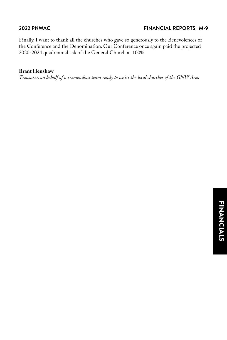Finally, I want to thank all the churches who gave so generously to the Benevolences of the Conference and the Denomination. Our Conference once again paid the projected 2020-2024 quadrennial ask of the General Church at 100%.

### **Brant Henshaw**

*Treasurer, on behalf of a tremendous team ready to assist the local churches of the GNW Area*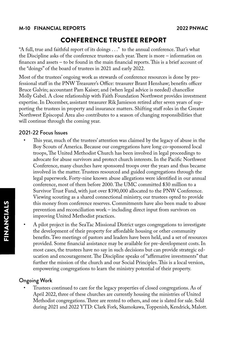### <span id="page-9-0"></span>**M-10 FINANCIAL REPORTS 2022 PNWAC**

## CONFERENCE TRUSTEE REPORT

"A full, true and faithful report of its doings . . ." to the annual conference. That's what the Discipline asks of the conference trustees each year. There is more – information on finances and assets – to be found in the main financial reports. This is a brief account of the "doings" of the board of trustees in 2021 and early 2022.

Most of the trustees' ongoing work as stewards of conference resources is done by professional staff in the PNW Treasurer's Office: treasurer Brant Henshaw; benefits officer Bruce Galvin; accountant Pam Kaiser; and (when legal advice is needed) chancellor Molly Gabel. A close relationship with Faith Foundation Northwest provides investment expertise. In December, assistant treasurer Rik Jamieson retired after seven years of supporting the trustees in property and insurance matters. Shifting staff roles in the Greater Northwest Episcopal Area also contributes to a season of changing responsibilities that will continue through the coming year.

## 2021-22 Focus Issues

- This year, much of the trustees' attention was claimed by the legacy of abuse in the Boy Scouts of America. Because our congregations have long co-sponsored local troops, The United Methodist Church has been involved in legal proceedings to advocate for abuse survivors and protect church interests. In the Pacific Northwest Conference, many churches have sponsored troops over the years and thus became involved in the matter. Trustees resourced and guided congregations through the legal paperwork. Forty-nine known abuse allegations were identified in our annual conference, most of them before 2000. The UMC committed \$30 million to a Survivor Trust Fund, with just over \$390,000 allocated to the PNW Conference. Viewing scouting as a shared connectional ministry, our trustees opted to provide this money from conference reserves. Commitments have also been made to abuse prevention and reconciliation work – including direct input from survivors on improving United Methodist practices.
- A pilot project in the SeaTac Missional District urges congregations to investigate the development of their property for affordable housing or other community benefits. Two meetings of pastors and leaders have been held, and a set of resources provided. Some financial assistance may be available for pre-development costs. In most cases, the trustees have no say in such decisions but can provide strategic education and encouragement. The Discipline speaks of "affirmative investments" that further the mission of the church and our Social Principles. This is a local version, empowering congregations to learn the ministry potential of their property.

## Ongoing Work

• Trustees continued to care for the legacy properties of closed congregations. As of April 2022, three of these churches are currently housing the ministries of United Methodist congregations. Three are rented to others, and one is slated for sale. Sold during 2021 and 2022 YTD: Clark Fork, Skamokawa, Toppenish, Kendrick, Malott.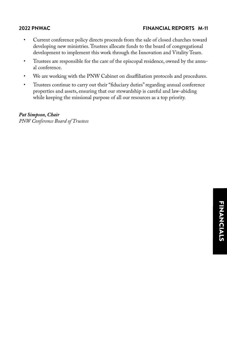- Current conference policy directs proceeds from the sale of closed churches toward developing new ministries. Trustees allocate funds to the board of congregational development to implement this work through the Innovation and Vitality Team.
- Trustees are responsible for the care of the episcopal residence, owned by the annual conference.
- We are working with the PNW Cabinet on disaffiliation protocols and procedures.
- Trustees continue to carry out their "fiduciary duties" regarding annual conference properties and assets, ensuring that our stewardship is careful and law-abiding while keeping the missional purpose of all our resources as a top priority.

*Pat Simpson, Chair PNW Conference Board of Trustees*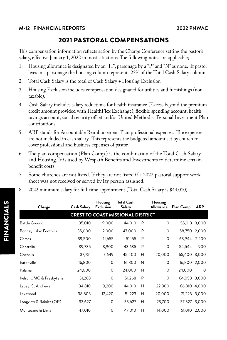## 2021 PASTORAL COMPENSATIONS

<span id="page-11-0"></span>This compensation information reflects action by the Charge Conference setting the pastor's salary, effective January 1, 2022 in most situations. The following notes are applicable;

- 1. Housing allowance is designated by an "H", parsonage by a "P" and "N" as none. If pastor lives in a parsonage the housing column represents 25% of the Total Cash Salary column.
- 2. Total Cash Salary is the total of Cash Salary + Housing Exclusion
- 3. Housing Exclusion includes compensation designated for utilities and furnishings (nontaxable).
- 4. Cash Salary includes salary reductions for health insurance (Excess beyond the premium credit amount provided with HealthFlex Exchange), flexible spending account, health savings account, social security offset and/or United Methodist Personal Investment Plan contributions.
- 5. ARP stands for Accountable Reimbursement Plan professional expenses. The expenses are not included in cash salary. This represents the budgeted amount set by church to cover professional and business expenses of pastor.
- 6. The plan compensation (Plan Comp.) is the combination of the Total Cash Salary and Housing. It is used by Wespath Benefits and Investments to determine certain benefit costs.
- 7. Some churches are not listed. If they are not listed if a 2022 pastoral support worksheet was not received or served by lay person assigned.
- 8. 2022 minimum salary for full-time appointment (Total Cash Salary is \$44,010).

| Charge                    | Cash Salary | Housing<br><b>Exclusion</b> | <b>Total Cash</b><br>Salary              |   | Housing<br><b>Allowance</b> | Plan Comp.   | ARP          |
|---------------------------|-------------|-----------------------------|------------------------------------------|---|-----------------------------|--------------|--------------|
|                           |             |                             | <b>CREST TO COAST MISSIONAL DISTRICT</b> |   |                             |              |              |
| <b>Battle Ground</b>      | 35,010      | 9,000                       | 44,010                                   | P | 0                           | 55,013 3,000 |              |
| Bonney Lake: Foothills    | 35,000      | 12,000                      | 47,000                                   | P | $\circ$                     | 58,750       | 2,000        |
| Camas                     | 39,500      | 11,655                      | 51,155                                   | P | $\mathbf 0$                 | 63,944 2,200 |              |
| Centralia                 | 39,735      | 3,900                       | 43,635                                   | P | $\mathbf 0$                 | 54,544       | 900          |
| Chehalis                  | 37,751      | 7,649                       | 45,400                                   | H | 20,000                      | 65,400       | 3,000        |
| Eatonville                | 16,800      | 0                           | 16,800                                   | N | $\mathbf 0$                 | 16,800 2,000 |              |
| Kalama                    | 24,000      | $\mathbf 0$                 | 24,000                                   | N | $\circ$                     | 24,000       | $\Omega$     |
| Kelso: UMC & Presbyterian | 51,268      | $\mathbf 0$                 | 51,268                                   | P | $\circ$                     | 64,058 3,000 |              |
| Lacey: St Andrews         | 34,810      | 9,200                       | 44,010                                   | Н | 22,800                      | 66,810 4,000 |              |
| Lakewood                  | 38,803      | 12,420                      | 51,223                                   | Н | 20,000                      |              | 71,223 3,000 |
| Longview & Rainier (OR)   | 33,627      | 0                           | 33,627                                   | Н | 23,700                      | 57,327 3,000 |              |
| Montesano & Elma          | 47,010      | 0                           | 47,010                                   | Н | 14,000                      |              | 61,010 2,000 |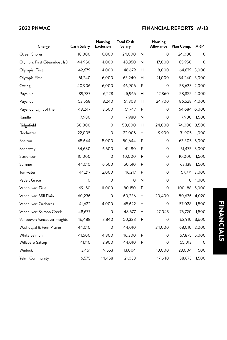| Charge                         | <b>Cash Salary</b> | Housing<br>Exclusion | <b>Total Cash</b><br>Salary |   | Housing<br>Allowance | Plan Comp.   | ARP          |
|--------------------------------|--------------------|----------------------|-----------------------------|---|----------------------|--------------|--------------|
| Ocean Shores                   | 18,000             | 6,000                | 24,000                      | N | 0                    | 24,000       | 0            |
| Olympia: First (Steamboat Is.) | 44,950             | 4,000                | 48,950                      | Ν | 17,000               | 65,950       | $\Omega$     |
| Olympia: First                 | 42,679             | 4,000                | 46,679                      | н | 18,000               | 64,679 3,000 |              |
| Olympia First                  | 51,240             | 6,000                | 63,240                      | н | 21,000               | 84,240       | 3,000        |
| Orting                         | 40,906             | 6,000                | 46,906                      | P | 0                    | 58,633 2,000 |              |
| Puyallup                       | 39,737             | 6,228                | 45,965                      | н | 12,360               | 58,325 4,000 |              |
| Puyallup                       | 53,568             | 8,240                | 61,808                      | н | 24,700               | 86,528 4,000 |              |
| Puyallup: Light of the Hill    | 48,247             | 3,500                | 51,747                      | P | 0                    | 64,684 6,000 |              |
| Randle                         | 7,980              | 0                    | 7,980                       | Ν | 0                    | 7,980        | 1,500        |
| Ridgefield                     | 50,000             | 0                    | 50,000                      | Н | 24,000               | 74,000       | 3,500        |
| Rochester                      | 22,005             | 0                    | 22,005                      | н | 9,900                | 31,905       | 1,000        |
| Shelton                        | 45,644             | 5,000                | 50,644                      | P | 0                    | 63,305 5,000 |              |
| Spanaway                       | 34,680             | 6,500                | 41,180                      | P | 0                    |              | 51,475 3,000 |
| Stevenson                      | 10,000             | 0                    | 10,000                      | P | 0                    | 10,000       | 1,500        |
| Sumner                         | 44,010             | 6,500                | 50,510                      | P | 0                    | 63,138       | 1,500        |
| Tumwater                       | 44,217             | 2,000                | 46,217                      | P | 0                    | 57,771       | 3,000        |
| Vader: Grace                   | 0                  | 0                    | 0                           | Ν | 0                    | 0            | 1,000        |
| Vancouver: First               | 69,150             | 11,000               | 80,150                      | P | 0                    | 100,188      | 5,000        |
| Vancouver: Mill Plain          | 60,236             | 0                    | 60,236                      | Н | 20,400               | 80,636 4,020 |              |
| Vancouver: Orchards            | 41,622             | 4,000                | 45,622                      | Н | 0                    | 57,028       | 1,500        |
| Vancouver: Salmon Creek        | 48,677             | 0                    | 48,677                      | н | 27,043               | 75,720       | 1,500        |
| Vancouver: Vancouver Heights   | 46,488             | 3,840                | 50,328                      | P | 0                    | 62,910       | 3,600        |
| Washougal & Fern Prairie       | 44,010             | 0                    | 44,010                      | H | 24,000               | 68,010       | 2,000        |
| White Salmon                   | 41,500             | 4,800                | 46,300                      | P | 0                    |              | 57,875 5,000 |
| Willapa & Satsop               | 41,110             | 2,900                | 44,010                      | P | 0                    | 55,013       | 0            |
| Winlock                        | 3,451              | 9,553                | 13,004                      | н | 10,000               | 23,004       | 500          |
| Yelm: Community                | 6,575              | 14,458               | 21,033                      | н | 17,640               | 38,673       | 1,500        |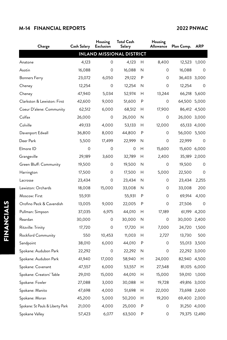## **M-14 FINANCIAL REPORTS 2022 PNWAC**

| Charge                           | Cash Salary | Housing<br><b>Exclusion</b>      | <b>Total Cash</b><br>Salary |   | Housing<br>Allowance | Plan Comp.    | <b>ARP</b>   |
|----------------------------------|-------------|----------------------------------|-----------------------------|---|----------------------|---------------|--------------|
|                                  |             | <b>INLAND MISSIONAL DISTRICT</b> |                             |   |                      |               |              |
| Anatone                          | 4,123       | O                                | 4,123                       | Н | 8,400                | 12,523        | 1,000        |
| Asotin                           | 16,088      | 0                                | 16,088                      | Ν | 0                    | 16,088        | 0            |
| Bonners Ferry                    | 23,072      | 6,050                            | 29,122                      | P | 0                    | 36,403 3,000  |              |
| Cheney                           | 12,254      | 0                                | 12,254                      | N | 0                    | 12,254        | 0            |
| Cheney                           | 47,940      | 5,034                            | 52,974                      | Н | 13,244               | 66,218 5,600  |              |
| Clarkston & Lewiston: First      | 42,600      | 9,000                            | 51,600                      | P | 0                    | 64,500 5,000  |              |
| Coeur D'alene: Community         | 62,512      | 6,000                            | 68,512                      | Н | 17,900               | 86,412 4,500  |              |
| Colfax                           | 26,000      | 0                                | 26,000                      | N | 0                    | 26,000 3,000  |              |
| Colville                         | 49,133      | 4,000                            | 53,133                      | Н | 12,000               |               | 65,133 4,000 |
| Davenport Edwall                 | 36,800      | 8,000                            | 44,800                      | P | 0                    | 56,000 5,500  |              |
| Deer Park                        | 5,500       | 17,499                           | 22,999                      | N | 0                    | 22,999        | 0            |
| Elmore ID                        | 0           | 0                                | 0                           | Н | 15,600               | 15,600 6,000  |              |
| Grangeville                      | 29,189      | 3,600                            | 32,789                      | н | 2,400                |               | 35,189 2,000 |
| Green Bluff: Community           | 19,500      | 0                                | 19,500                      | N | 0                    | 19,500        | 0            |
| Harrington                       | 17,500      | 0                                | 17,500                      | Н | 5,000                | 22,500        | 0            |
| Lacrosse                         | 23,434      | 0                                | 23,434                      | N | 0                    | 23,434        | 2,255        |
| Lewiston: Orchards               | 18,008      | 15,000                           | 33,008                      | N | 0                    | 33,008        | 200          |
| Moscow: First                    | 55,931      |                                  | 55,931                      | P | 0                    | 69,914        | 4,100        |
| Orofino Peck & Cavendish         | 13,005      | 9,000                            | 22,005                      | P | 0                    | 27,506        | 0            |
| Pullman: Simpson                 | 37,035      | 6,975                            | 44,010                      | Н | 17,189               |               | 61,199 4,200 |
| Reardan                          | 30,000      | 0                                | 30,000                      | N | 0                    | 30,000 2,400  |              |
| Ritzville: Trinity               | 17,720      | 0                                | 17,720                      | Н | 7,000                | 24,720        | 1,500        |
| Rockford Community               | 550         | 10,453                           | 11,003                      | Н | 2,727                | 13,730        | 500          |
| Sandpoint                        | 38,010      | 6,000                            | 44,010                      | P | 0                    | 55,013 3,500  |              |
| Spokane: Audubon Park            | 22,292      | 0                                | 22,292                      | N | 0                    | 22,292 3,000  |              |
| Spokane: Audubon Park            | 41,940      | 17,000                           | 58,940                      | Н | 24,000               | 82,940 4,500  |              |
| Spokane: Covenant                | 47,557      | 6,000                            | 53,557                      | Н | 27,548               |               | 81,105 6,000 |
| Spokane: Creators' Table         | 29,010      | 15,000                           | 44,010                      | Н | 15,000               |               | 59,010 1,000 |
| Spokane: Fowler                  | 27,088      | 3,000                            | 30,088                      | Н | 19,728               | 49,816 3,000  |              |
| Spokane: Manito                  | 47,698      | 4,000                            | 51,698                      | Н | 22,000               | 73,698 2,600  |              |
| Spokane: Moran                   | 45,200      | 5,000                            | 50,200                      | Н | 19,200               | 69,400 2,000  |              |
| Spokane: St Pauls & Liberty Park | 21,000      | 4,000                            | 25,000                      | P | 0                    | 31,250 4,000  |              |
| Spokane Valley                   | 57,423      | 6,077                            | 63,500                      | Ρ | 0                    | 79,375 12,490 |              |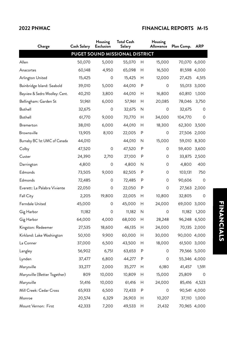| Charge                         | <b>Cash Salary</b> | Housing<br><b>Exclusion</b> | <b>Total Cash</b><br>Salary    |   | Housing<br>Allowance | Plan Comp.   | <b>ARP</b>  |
|--------------------------------|--------------------|-----------------------------|--------------------------------|---|----------------------|--------------|-------------|
|                                |                    |                             | PUGET SOUND MISSIONAL DISTRICT |   |                      |              |             |
| Allen                          | 50,070             | 5,000                       | 55,070                         | Н | 15,000               | 70,070 6,000 |             |
| Anacortes                      | 60,148             | 4,950                       | 65,098                         | Н | 16,500               | 81,598 4,000 |             |
| Arlington United               | 15,425             | 0                           | 15,425                         | Н | 12,000               | 27,425       | 4,515       |
| Bainbridge Island: Seabold     | 39,010             | 5,000                       | 44,010                         | P | 0                    | 55,013 3,000 |             |
| Bayview & Sedro Woolley: Cent. | 40,210             | 3,800                       | 44,010                         | Н | 16,800               | 60,810       | 1,000       |
| Bellingham: Garden St          | 51,961             | 6,000                       | 57,961                         | Н | 20,085               | 78,046       | 3,750       |
| Bothell                        | 32,675             | 0                           | 32,675                         | N | 0                    | 32,675       | 0           |
| Bothell                        | 61,770             | 9,000                       | 70,770                         | Н | 34,000               | 104,770      | $\mathbf 0$ |
| Bremerton                      | 38,010             | 6,000                       | 44,010                         | Н | 18,300               | 62,300       | 3,500       |
| <b>Brownsville</b>             | 13,905             | 8,100                       | 22,005                         | P | 0                    | 27,506 2,000 |             |
| Burnaby BC 1st UMC of Canada   | 44,010             |                             | 44,010                         | N | 15,000               | 59,010       | 8,300       |
| Colby                          | 47,520             | 0                           | 47,520                         | P | 0                    | 59,400       | 3,600       |
| Custer                         | 24,390             | 2,710                       | 27,100                         | P | 0                    | 33,875       | 2,500       |
| Darrington                     | 4,800              | 0                           | 4,800                          | N | 0                    | 4,800        | 400         |
| Edmonds                        | 73,505             | 9,000                       | 82,505                         | P | 0                    | 103,131      | 750         |
| Edmonds                        | 72,485             | 0                           | 72,485                         | P | 0                    | 90,606       | 0           |
| Everett: La Palabra Viviente   | 22,050             | 0                           | 22,050                         | P | 0                    | 27,563 2,000 |             |
| <b>Fall City</b>               | 2,205              | 19,800                      | 22,005                         | Н | 10,800               | 32,805       | 0           |
| Ferndale United                | 45,000             | 0                           | 45,000                         | Н | 24,000               | 69,000       | 3,000       |
| Gig Harbor                     | 11,182             | 0                           | 11,182                         | N | 0                    | 11,182       | 1,200       |
| Gig Harbor                     | 64,000             | 4,000                       | 68,000                         | Н | 28,248               | 96,248 6,500 |             |
| Kingston: Redeemer             | 27,535             | 18,600                      | 46,135                         | Н | 24,000               | 70,135 2,000 |             |
| Kirkland: Lake Washington      | 50,100             | 9,900                       | 60,000                         | Н | 30,000               | 90,000 4,000 |             |
| La Conner                      | 37,000             | 6,500                       | 43,500                         | Н | 18,000               | 61,500 3,000 |             |
| Langley                        | 56,902             | 6,751                       | 63,653                         | P | 0                    | 79,566 5,000 |             |
| Lynden                         | 37,477             | 6,800                       | 44,277                         | P | 0                    | 55,346 4,000 |             |
| Marysville                     | 33,277             | 2,000                       | 35,277                         | Н | 6,180                | 41,457       | 1,591       |
| Marysville (Better Together)   | 809                | 10,000                      | 10,809                         | Н | 15,000               | 25,809       | 0           |
| Marysville                     | 51,416             | 10,000                      | 61,416                         | Н | 24,000               | 85,416       | 4,523       |
| Mill Creek: Cedar Cross        | 65,933             | 6,500                       | 72,433                         | P | 0                    | 90,541 4,000 |             |
| Monroe                         | 20,574             | 6,329                       | 26,903                         | Н | 10,207               | 37,110       | 1,000       |
| Mount Vernon: First            | 42,333             | 7,200                       | 49,533                         | Н | 21,432               | 70,965 4,000 |             |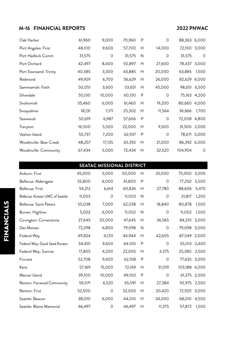## **M-16 FINANCIAL REPORTS 2022 PNWAC**

| Oak Harbor              | 61,960 | 9,000   | 70,960 | P | $\mathbf 0$ | 88,363 6,000 |              |
|-------------------------|--------|---------|--------|---|-------------|--------------|--------------|
| Port Angeles: First     | 48,100 | 9,600   | 57,700 | Н | 14,000      | 72,100       | 3,000        |
| Port Hadlock Comm       | 31,575 | $\circ$ | 31,575 | N | $\mathbf 0$ | 31,575       | $\circ$      |
| Port Orchard            | 42,497 | 8,400   | 50,897 | H | 27,600      | 78,437 3,000 |              |
| Port Townsend: Trinity  | 40,585 | 3,300   | 43,885 | Н | 20,000      | 63,885       | 1,500        |
| Redmond                 | 49,929 | 6,700   | 56,629 | H | 26,000      | 82,629 4,000 |              |
| Sammamish: Faith        | 50,051 | 3,600   | 53,651 | Н | 45,000      | 98,651       | 6,500        |
| Silverdale              | 50,130 | 10,000  | 60,130 | P | 0           |              | 75,163 4,200 |
| Snohomish               | 55,460 | 6,000   | 61,460 | H | 19,200      | 80,660 4,000 |              |
| Snoqualmie              | 18,131 | 7,171   | 25,302 | H | 11,564      | 36,866       | 1,700        |
| Stanwood                | 50,619 | 6,987   | 57,606 | P | 0           | 72,008       | 4,800        |
| Tracyton                | 16,500 | 5,500   | 22,000 | Н | 9,500       | 31,500 2,000 |              |
| Vashon Island           | 55,737 | 7,200   | 62,937 | P | $\mathbf 0$ |              | 78,671 5,000 |
| Woodinville: Bear Creek | 48,257 | 17,135  | 65,392 | Н | 21,000      | 86,392 6,000 |              |
| Woodinville: Community  | 67,434 | 5,000   | 72,434 | H | 32,520      | 104,954      | $\circ$      |

| <b>SEATAC MISSIONAL DISTRICT</b> |  |  |
|----------------------------------|--|--|
|                                  |  |  |

| Auburn: First                   | 45,000 | 5,000   | 50,000 | Н | 25,000      | 75,000        | 3,000        |
|---------------------------------|--------|---------|--------|---|-------------|---------------|--------------|
| Bellevue: Aldersgate            | 55,800 | 6,000   | 61,800 | P | $\Omega$    | 77,250        | 5,500        |
| Bellevue: First                 | 54,212 | 6,614   | 60,826 | Н | 27,780      | 88,606        | 5,470        |
| Bellevue: Korean UMC of Seattle | 11,003 | $\circ$ | 11,003 | N | $\mathbf 0$ | 21,817        | 1,200        |
| Bellevue: Saint Peters          | 55,038 | 7,000   | 62,038 | Н | 18,840      | 80,878        | 1,500        |
| Burien: Highline                | 5,002  | 6,000   | 11,002 | N | 0           | 11,002        | 1,500        |
| Covington: Cornerstone          | 27,645 | 20,000  | 47,645 | Н | 36,565      | 84,210        | 3,000        |
| Des Moines                      | 72,298 | 6,800   | 79,098 | N | $\mathbf 0$ | 79,098 3,000  |              |
| Federal Way                     | 49,824 | 4,120   | 44,944 | Н | 42,605      | 87,549 2,000  |              |
| Federal Way: Good Seed Korean   | 34,410 | 9,600   | 44.010 | P | $\mathbf 0$ |               | 55,013 2,400 |
| Federal Way: Sunrise            | 17,805 | 4,200   | 22,005 | Н | 3,375       | 25,380        | 2,500        |
| Fircrest                        | 52,708 | 9,400   | 62,108 | P | $\mathbf 0$ |               | 77,635 3,000 |
| Kent                            | 57,169 | 15,000  | 72,169 | H | 31,019      | 103,188 4,000 |              |
| Mercer Island                   | 39,100 | 10,000  | 49,100 | P | $\mathbf 0$ |               | 61,375 2,000 |
| Renton: Fairwood Community      | 59,071 | 6,520   | 65,591 | Н | 27,384      | 92,975        | 2,500        |
| Renton: First                   | 52,500 | 0       | 52,500 | H | 20,420      | 72,920        | 3,000        |
| Seattle: Beacon                 | 38,010 | 6,000   | 44,010 | Н | 24,000      | 68,010        | 4,500        |
| Seattle: Blaine Memorial        | 46,497 | $\circ$ | 46,497 | Н | 11,375      | 57,872        | 1,500        |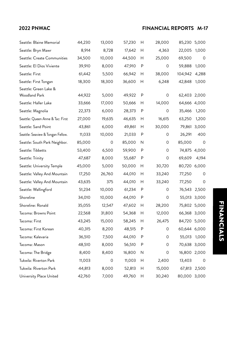| Seattle: Blaine Memorial          | 44,230 | 13,000 | 57,230 | Н | 28,000   | 85,230       | 5,000        |
|-----------------------------------|--------|--------|--------|---|----------|--------------|--------------|
| Seattle: Bryn Mawr                | 8,914  | 8,728  | 17,642 | Н | 4,363    | 22,005       | 1,000        |
| Seattle: Create Communities       | 34,500 | 10,000 | 44,500 | Н | 25,000   | 69,500       | 0            |
| Seattle: El Dios Viviente         | 39,910 | 8,000  | 47,910 | P | 0        | 59,888       | 1,000        |
| Seattle: First                    | 61,442 | 5,500  | 66,942 | Н | 38,000   | 104,942      | 4,288        |
| Seattle: First Tongan             | 18,300 | 18,300 | 36,600 | н | 6,248    | 42,848       | 1,000        |
| Seattle: Green Lake &             |        |        |        |   |          |              |              |
| Woodland Park                     | 44,922 | 5,000  | 49,922 | P | 0        | 62,403 2,000 |              |
| Seattle: Haller Lake              | 33,666 | 17,000 | 50,666 | Н | 14,000   | 64,666 4,000 |              |
| Seattle: Magnolia                 | 22,373 | 6,000  | 28,373 | P | 0        | 35,466       | 1,200        |
| Seattle: Queen Anne & Tac: First  | 27,000 | 19,635 | 46,635 | Н | 16,615   | 63,250       | 1,200        |
| Seattle: Sand Point               | 43,861 | 6,000  | 49,861 | н | 30,000   |              | 79,861 3,000 |
| Seattle: Seaview & Tongan Fellow. | 11,033 | 10,000 | 21,033 | P | 0        | 26,291       | 400          |
| Seattle: South Park Neighbor.     | 85,000 | 0      | 85,000 | N | 0        | 85,000       | $\Omega$     |
| Seattle: Tibbetts                 | 53,400 | 6,500  | 59,900 | P | $\Omega$ | 74,875 4,000 |              |
| Seattle: Trinity                  | 47,687 | 8,000  | 55,687 | P | $\Omega$ | 69,609       | 4,194        |
| Seattle: University Temple        | 45,000 | 5,000  | 50,000 | Н | 30,720   | 80,720 6,000 |              |
| Seattle: Valley And Mountain      | 17,250 | 26,760 | 44,010 | Н | 33,240   | 77,250       | 0            |
| Seattle: Valley And Mountain      | 43,635 | 375    | 44,010 | Н | 33,240   | 77,250       | 0            |
| Seattle: Wallingford              | 51,234 | 10,000 | 61,234 | P | 0        | 76,543 2,500 |              |
| Shoreline                         | 34,010 | 10,000 | 44,010 | P | 0        | 55,013 3,000 |              |
| Shoreline: Ronald                 | 35,055 | 12,547 | 47,602 | Н | 28,200   | 75,802 5,000 |              |
| Tacoma: Browns Point              | 22,568 | 31,800 | 54,368 | H | 12,000   | 66,368 3,000 |              |
| Tacoma: First                     | 43,245 | 15,000 | 58,245 | Н | 26,475   | 84,720 5,000 |              |
| Tacoma: First Korean              | 40,315 | 8,200  | 48,515 | P | 0        | 60,644 6,000 |              |
| Tacoma: Kalevaria                 | 36,510 | 7,500  | 44,010 | P | 0        | 55,013       | 1,000        |
| Tacoma: Mason                     | 48,510 | 8,000  | 56,510 | P | 0        | 70,638 3,000 |              |
| Tacoma: The Bridge                | 8,400  | 8,400  | 16,800 | N | 0        | 16,800 2,000 |              |
| Tukwila: Riverton Park            | 11,003 | 0      | 11,003 | Н | 2,400    | 13,403       | 0            |
| Tukwila: Riverton Park            | 44,813 | 8,000  | 52,813 | Н | 15,000   |              | 67,813 2,500 |
| University Place United           | 42,760 | 7,000  | 49,760 | н | 30,240   | 80,000 3,000 |              |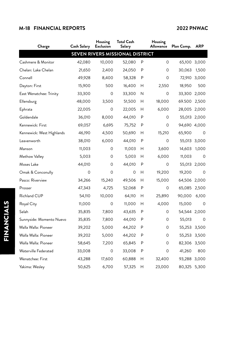## **M-18 FINANCIAL REPORTS 2022 PNWAC**

| Charge                          | <b>Cash Salary</b> | Housing<br><b>Exclusion</b> | <b>Total Cash</b><br>Salary |   | Housing<br>Allowance | Plan Comp.   | <b>ARP</b>   |
|---------------------------------|--------------------|-----------------------------|-----------------------------|---|----------------------|--------------|--------------|
| SEVEN RIVERS MISSIONAL DISTRICT |                    |                             |                             |   |                      |              |              |
| Cashmere & Monitor              | 42,080             | 10,000                      | 52,080                      | P | $\Omega$             | 65,100 3,000 |              |
| Chelan: Lake Chelan             | 21,650             | 2,400                       | 24,050                      | P | 0                    | 30,063       | 1,500        |
| Connell                         | 49,928             | 8,400                       | 58,328                      | P | 0                    |              | 72,910 3,000 |
| Dayton: First                   | 15,900             | 500                         | 16,400                      | Н | 2,550                | 18,950       | 500          |
| East Wenatchee: Trinity         | 33,300             | 0                           | 33,300                      | N | 0                    | 33,300 2,000 |              |
| Ellensburg                      | 48,000             | 3,500                       | 51,500                      | Н | 18,000               | 69.500       | 2,500        |
| Ephrata                         | 22,005             | 0                           | 22,005                      | Н | 6,000                | 28,005 2,000 |              |
| Goldendale                      | 36,010             | 8,000                       | 44,010                      | P | 0                    | 55,013 2,000 |              |
| Kennewick: First                | 69,057             | 6,695                       | 75,752                      | P | 0                    | 94,690 4,000 |              |
| Kennewick: West Highlands       | 46,190             | 4,500                       | 50,690                      | Н | 15,210               | 65,900       | 0            |
| Leavenworth                     | 38,010             | 6,000                       | 44,010                      | P | 0                    |              | 55,013 3,000 |
| Manson                          | 11,003             | 0                           | 11,003                      | Н | 3,600                | 14,603       | 1,000        |
| Methow Valley                   | 5,003              | 0                           | 5,003                       | Н | 6,000                | 11,003       | 0            |
| Moses Lake                      | 44,010             | 0                           | 44,010                      | P | 0                    | 55,013 2,000 |              |
| Omak & Conconully               | $\mathbf 0$        | $\Omega$                    | 0                           | H | 19,200               | 19,200       | 0            |
| Pasco: Riverview                | 34,266             | 15,240                      | 49,506                      | Н | 15,000               | 64,506 2,000 |              |
| Prosser                         | 47,343             | 4,725                       | 52,068                      | P | 0                    | 65,085 2,500 |              |
| Richland CUP                    | 54,110             | 10,000                      | 64,110                      | Н | 25,890               | 90,000       | 6,100        |
| Royal City                      | 11,000             | 0                           | 11,000                      | Н | 4,000                | 15,000       | 0            |
| Selah                           | 35,835             | 7,800                       | 43,635                      | P | 0                    | 54,544 2,000 |              |
| Sunnyside: Momento Nuevo        | 35,835             | 7,800                       | 44,010                      | P | 0                    | 55,013       | 0            |
| Walla Walla: Pioneer            | 39,202             | 5,000                       | 44,202                      | P | 0                    | 55,253       | 3,500        |
| Walla Walla: Pioneer            | 39,202             | 5,000                       | 44,202                      | P | 0                    | 55,253 3,500 |              |
| Walla Walla: Pioneer            | 58,645             | 7,200                       | 65,845                      | P | 0                    | 82,306 3,500 |              |
| Waterville Federated            | 33,008             | 0                           | 33,008                      | P | 0                    | 41,260       | 800          |
| Wenatchee: First                | 43,288             | 17,600                      | 60,888                      | Н | 32,400               | 93,288       | 3,000        |
| Yakima: Wesley                  | 50,625             | 6,700                       | 57,325                      | Н | 23,000               | 80,325 5,300 |              |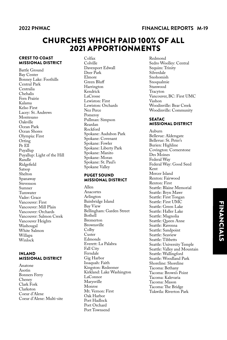## <span id="page-18-0"></span>CHURCHES WHICH PAID 100% OF ALL 2021 APPORTIONMENTS

### CREST TO COAST MISSIONAL DISTRICT

Battle Ground Bay Center Bonney Lake: Foothills Central Park Centralia Chehalis Fern Prairie Kalama Kelso First Lacey: St. Andrews Montesano Oakville Ocean Park Ocean Shores Olympia: First Orting Pe Ell Puyallup Puyallup: Light of the Hill Randle Ridgefield Satsop Shelton Spanaway Stevenson Sumner Tumwater Vader: Grace Vancouver: First Vancouver: Mill Plain Vancouver: Orchards Vancouver: Salmon Creek Vancouver Heights Washougal White Salmon Willapa Winlock

### INLAND MISSIONAL DISTRICT

Anatone Asotin Bonners Ferry Cheney Clark Fork Clarkston Coeur d'Alene Coeur d'Alene: Multi-site Colfax Colville Davenport Edwall Deer Park Elmore Green Bluff Harrington Kendrick LaCrosse Lewiston: First Lewiston: Orchards Nez Perce Pomeroy Pullman: Simpson Reardan Rockford Spokane: Audubon Park Spokane: Covenant Spokane: Fowler Spokane: Liberty Park Spokane: Manito Spokane: Moran Spokane: St. Paul's Spokane Valley

### PUGET SOUND MISSIONAL DISTRICT

Allen Anacortes Arlington Bainbridge Island Bay View Bellingham: Garden Street Bothell Bremerton Brownsville Colby Custer Edmonds Everett: La Palabra Fall City Ferndale Gig Harbor Issaquah: Faith Kingston: Redeemer Kirkland: Lake Washington LaConnor Marysville Monroe Mt. Vernon: First Oak Harbor Port Hadlock Port Orchard Port Townsend

Redmond Sedro Woolley: Central Sequim: Trinity Silverdale Snohomish Snoqualmie Stanwood Tracyton Vancouver, BC: First UMC Vashon Woodinville: Bear Creek Woodinville: Community

### **SEATAC** MISSIONAL DISTRICT

Auburn Bellevue: Aldersgate Bellevue: St. Peter's Burien: Highline Covington: Cornerstone Des Moines Federal Way Federal Way: Good Seed Kent Mercer Island Renton: Fairwood Renton: First Seattle: Blaine Memorial Seattle: Bryn Mawr Seattle: First Tongan Seattle: First UMC Seattle: Green Lake Seattle: Haller Lake Seattle: Magnolia Seattle: Queen Anne Seattle: Ravenna Seattle: Sandpoint Seattle: Seaview Seattle: Tibbetts Seattle: University Temple Seattle: Valley and Mountain Seattle: Wallingford Seattle: Woodland Park Shoreline: Shoreline Tacoma: Bethany Tacoma: Brown's Point Tacoma: Kalevaria Tacoma: Mason Tacoma: The Bridge Tukwila: Riverton Park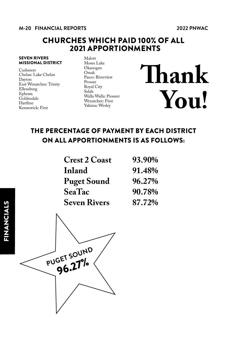### **M-20 FINANCIAL REPORTS 2022 PNWAC**

## CHURCHES WHICH PAID 100% OF ALL 2021 APPORTIONMENTS

### SEVEN RIVERS MISSIONAL DISTRICT

Cashmere Chelan: Lake Chelan Dayton East Wenatchee: Trinity Ellensburg Ephrata **Goldendale** Hartline Kennewick: First

Malott Moses Lake Okanogan Omak Pasco: Riverview Prosser Royal City Selah Walla Walla: Pioneer Wenatchee: First Yakima: Wesley

**Thank You!**

## THE PERCENTAGE OF PAYMENT BY EACH DISTRICT ON ALL APPORTIONMENTS IS AS FOLLOWS:

| <b>Crest 2 Coast</b> | 93.90% |
|----------------------|--------|
| Inland               | 91.48% |
| <b>Puget Sound</b>   | 96.27% |
| <b>SeaTac</b>        | 90.78% |
| <b>Seven Rivers</b>  | 87.72% |

PUGET SOUND  $96.27%$